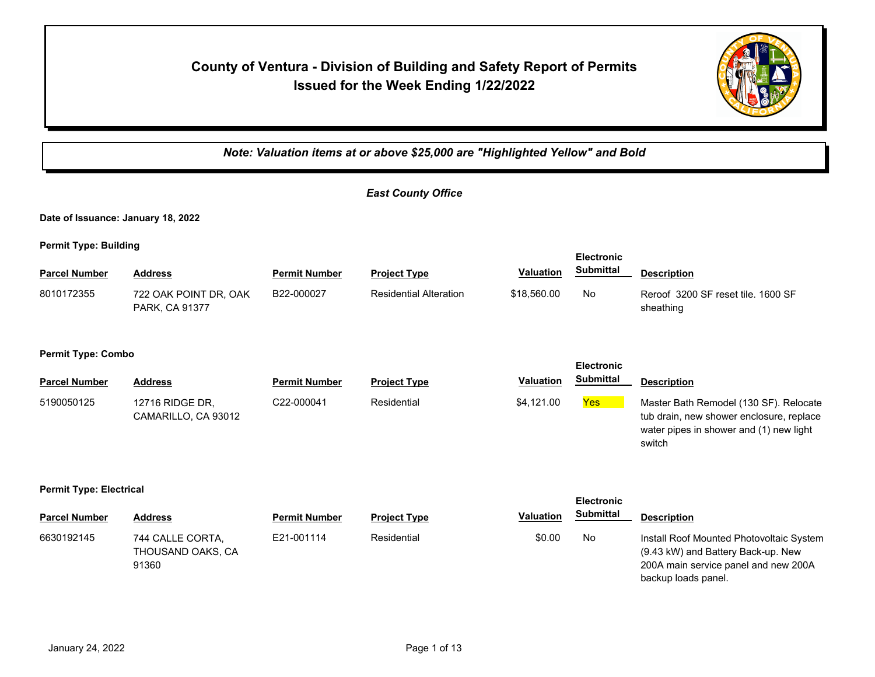# **County of Ventura - Division of Building and Safety Report of Permits Issued for the Week Ending 1/22/2022**



*Note: Valuation items at or above \$25,000 are "Highlighted Yellow" and Bold*

|                                                |                                                |                      | <b>East County Office</b>     |                  |                                       |                                                                                                                                               |  |  |  |
|------------------------------------------------|------------------------------------------------|----------------------|-------------------------------|------------------|---------------------------------------|-----------------------------------------------------------------------------------------------------------------------------------------------|--|--|--|
|                                                | Date of Issuance: January 18, 2022             |                      |                               |                  |                                       |                                                                                                                                               |  |  |  |
| <b>Permit Type: Building</b>                   |                                                |                      |                               |                  |                                       |                                                                                                                                               |  |  |  |
| <b>Parcel Number</b>                           | <b>Address</b>                                 | <b>Permit Number</b> | <b>Project Type</b>           | <b>Valuation</b> | <b>Electronic</b><br><b>Submittal</b> | <b>Description</b>                                                                                                                            |  |  |  |
| 8010172355                                     | 722 OAK POINT DR, OAK<br>PARK, CA 91377        | B22-000027           | <b>Residential Alteration</b> | \$18,560.00      | No                                    | Reroof 3200 SF reset tile, 1600 SF<br>sheathing                                                                                               |  |  |  |
| <b>Permit Type: Combo</b><br><b>Electronic</b> |                                                |                      |                               |                  |                                       |                                                                                                                                               |  |  |  |
| <b>Parcel Number</b>                           | <b>Address</b>                                 | <b>Permit Number</b> | <b>Project Type</b>           | <b>Valuation</b> | <b>Submittal</b>                      | <b>Description</b>                                                                                                                            |  |  |  |
| 5190050125                                     | 12716 RIDGE DR,<br>CAMARILLO, CA 93012         | C22-000041           | Residential                   | \$4,121.00       | <b>Yes</b>                            | Master Bath Remodel (130 SF). Relocate<br>tub drain, new shower enclosure, replace<br>water pipes in shower and (1) new light<br>switch       |  |  |  |
| <b>Permit Type: Electrical</b>                 |                                                |                      |                               |                  | <b>Electronic</b>                     |                                                                                                                                               |  |  |  |
| <b>Parcel Number</b>                           | <b>Address</b>                                 | <b>Permit Number</b> | <b>Project Type</b>           | <b>Valuation</b> | <b>Submittal</b>                      | <b>Description</b>                                                                                                                            |  |  |  |
| 6630192145                                     | 744 CALLE CORTA,<br>THOUSAND OAKS, CA<br>91360 | E21-001114           | Residential                   | \$0.00           | No                                    | Install Roof Mounted Photovoltaic System<br>(9.43 kW) and Battery Back-up. New<br>200A main service panel and new 200A<br>backup loads panel. |  |  |  |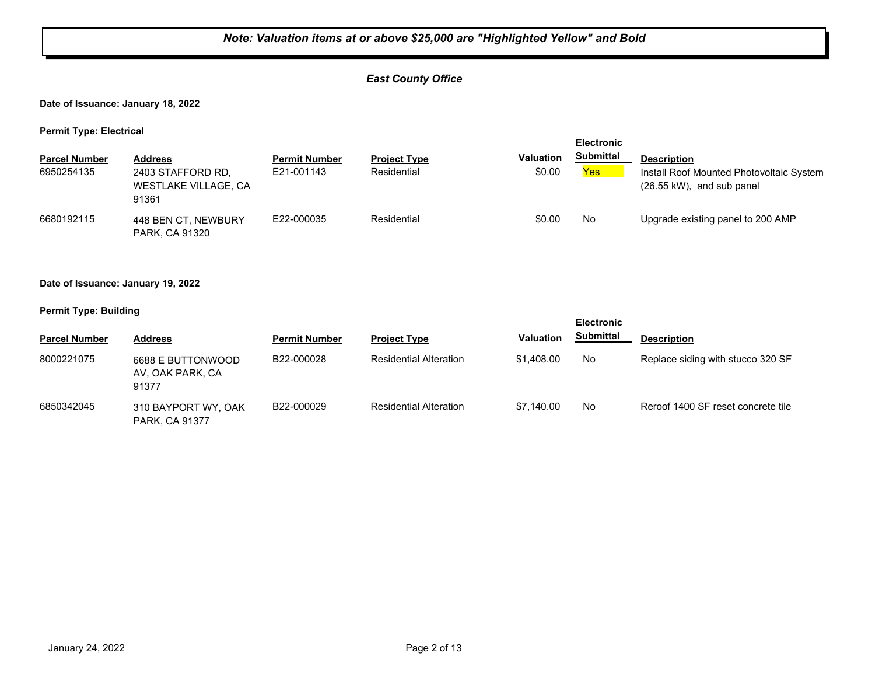## *East County Office*

**Date of Issuance: January 18, 2022**

**Permit Type: Electrical**

| --<br><b>Parcel Number</b><br>6950254135 | <b>Address</b><br>2403 STAFFORD RD.<br>WESTLAKE VILLAGE, CA<br>91361 | <b>Permit Number</b><br>E21-001143 | <b>Project Type</b><br>Residential | <b>Valuation</b><br>\$0.00 | <b>Electronic</b><br><b>Submittal</b><br>Yes | <b>Description</b><br>Install Roof Mounted Photovoltaic System<br>$(26.55 \text{ kW})$ , and sub panel |
|------------------------------------------|----------------------------------------------------------------------|------------------------------------|------------------------------------|----------------------------|----------------------------------------------|--------------------------------------------------------------------------------------------------------|
| 6680192115                               | 448 BEN CT. NEWBURY<br><b>PARK, CA 91320</b>                         | E22-000035                         | Residential                        | \$0.00                     | No                                           | Upgrade existing panel to 200 AMP                                                                      |

**Date of Issuance: January 19, 2022**

**Permit Type: Building**

|                      |                                                |                      |                               |                  | <b>Electronic</b> |                                    |
|----------------------|------------------------------------------------|----------------------|-------------------------------|------------------|-------------------|------------------------------------|
| <b>Parcel Number</b> | <b>Address</b>                                 | <b>Permit Number</b> | <b>Project Type</b>           | <b>Valuation</b> | <b>Submittal</b>  | <b>Description</b>                 |
| 8000221075           | 6688 E BUTTONWOOD<br>AV. OAK PARK. CA<br>91377 | B22-000028           | <b>Residential Alteration</b> | \$1,408.00       | No                | Replace siding with stucco 320 SF  |
| 6850342045           | 310 BAYPORT WY, OAK<br><b>PARK, CA 91377</b>   | B22-000029           | <b>Residential Alteration</b> | \$7.140.00       | No                | Reroof 1400 SF reset concrete tile |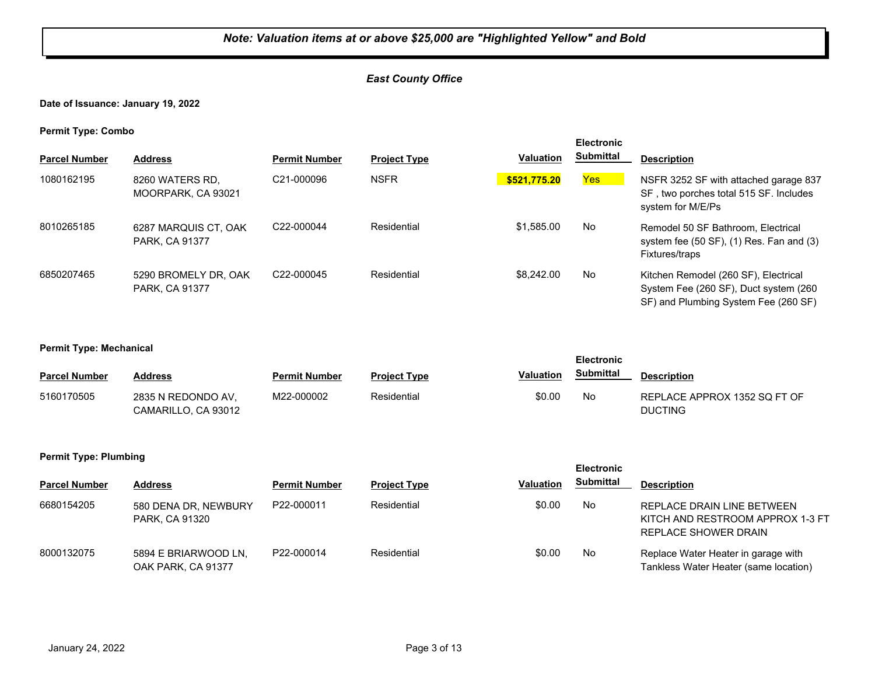## *East County Office*

**Date of Issuance: January 19, 2022**

**Permit Type: Combo**

| . .                  |                                        |                         |                     |                  | <b>Electronic</b> |                                                                                                                       |
|----------------------|----------------------------------------|-------------------------|---------------------|------------------|-------------------|-----------------------------------------------------------------------------------------------------------------------|
| <b>Parcel Number</b> | <b>Address</b>                         | <b>Permit Number</b>    | <b>Project Type</b> | <b>Valuation</b> | <b>Submittal</b>  | <b>Description</b>                                                                                                    |
| 1080162195           | 8260 WATERS RD,<br>MOORPARK, CA 93021  | C21-000096              | <b>NSFR</b>         | \$521,775.20     | Yes               | NSFR 3252 SF with attached garage 837<br>SF, two porches total 515 SF. Includes<br>system for M/E/Ps                  |
| 8010265185           | 6287 MARQUIS CT, OAK<br>PARK, CA 91377 | C <sub>22</sub> -000044 | Residential         | \$1,585.00       | No                | Remodel 50 SF Bathroom, Electrical<br>system fee $(50 SF)$ , $(1) Res. Fan and (3)$<br>Fixtures/traps                 |
| 6850207465           | 5290 BROMELY DR. OAK<br>PARK, CA 91377 | C22-000045              | Residential         | \$8,242,00       | No                | Kitchen Remodel (260 SF), Electrical<br>System Fee (260 SF), Duct system (260<br>SF) and Plumbing System Fee (260 SF) |

#### **Permit Type: Mechanical**

|                      |                                           |                      |                     |                  | <b>Electronic</b> |                                                |
|----------------------|-------------------------------------------|----------------------|---------------------|------------------|-------------------|------------------------------------------------|
| <b>Parcel Number</b> | <b>Address</b>                            | <b>Permit Number</b> | <b>Project Type</b> | <b>Valuation</b> | Submittal         | <b>Description</b>                             |
| 5160170505           | 2835 N REDONDO AV.<br>CAMARILLO, CA 93012 | M22-000002           | Residential         | \$0.00           | No                | REPLACE APPROX 1352 SQ FT OF<br><b>DUCTING</b> |

#### **Permit Type: Plumbing**

| <b>Parcel Number</b> | <b>Address</b>                             | <b>Permit Number</b> | <b>Project Type</b> | <b>Valuation</b> | Submittal | <b>Description</b>                                                                     |
|----------------------|--------------------------------------------|----------------------|---------------------|------------------|-----------|----------------------------------------------------------------------------------------|
| 6680154205           | 580 DENA DR, NEWBURY<br>PARK, CA 91320     | P22-000011           | Residential         | \$0.00           | No.       | REPLACE DRAIN LINE BETWEEN<br>KITCH AND RESTROOM APPROX 1-3 FT<br>REPLACE SHOWER DRAIN |
| 8000132075           | 5894 E BRIARWOOD LN,<br>OAK PARK, CA 91377 | P22-000014           | Residential         | \$0.00           | No.       | Replace Water Heater in garage with<br>Tankless Water Heater (same location)           |

**Electronic**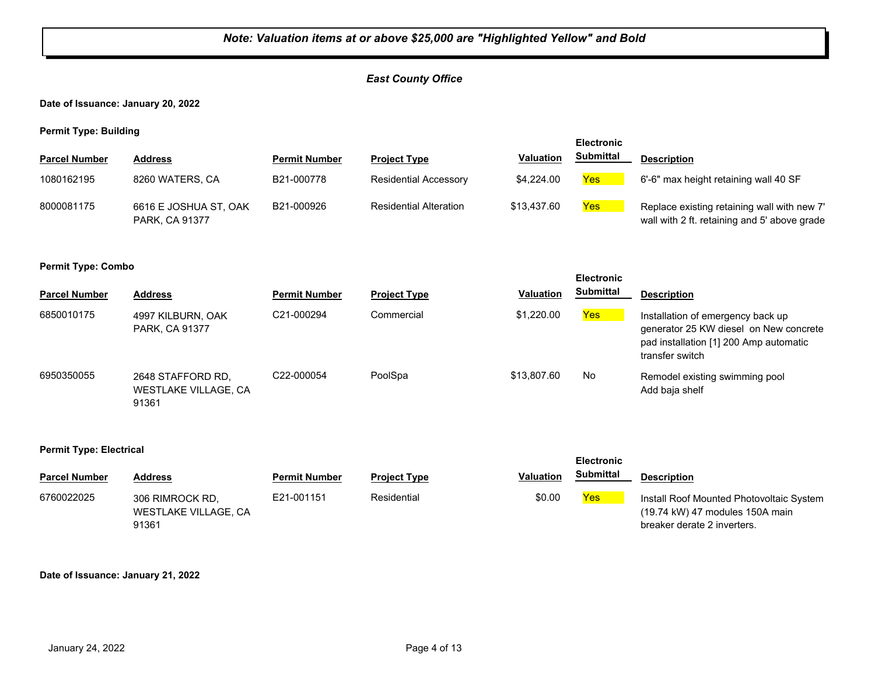## *East County Office*

**Date of Issuance: January 20, 2022**

**Permit Type: Building**

|                      |                                         |                      |                               |                  | <b>Electronic</b> |                                                                                             |
|----------------------|-----------------------------------------|----------------------|-------------------------------|------------------|-------------------|---------------------------------------------------------------------------------------------|
| <b>Parcel Number</b> | <b>Address</b>                          | <b>Permit Number</b> | <b>Project Type</b>           | <b>Valuation</b> | <b>Submittal</b>  | <b>Description</b>                                                                          |
| 1080162195           | 8260 WATERS, CA                         | B21-000778           | <b>Residential Accessory</b>  | \$4,224,00       | Yes               | 6'-6" max height retaining wall 40 SF                                                       |
| 8000081175           | 6616 E JOSHUA ST, OAK<br>PARK, CA 91377 | B21-000926           | <b>Residential Alteration</b> | \$13,437.60      | Yes               | Replace existing retaining wall with new 7'<br>wall with 2 ft. retaining and 5' above grade |

#### **Permit Type: Combo**

| <b>Parcel Number</b> | <b>Address</b>                                            | <b>Permit Number</b> | <b>Project Type</b> | <b>Valuation</b> | <b>Submittal</b> | <b>Description</b>                                                                                                                       |
|----------------------|-----------------------------------------------------------|----------------------|---------------------|------------------|------------------|------------------------------------------------------------------------------------------------------------------------------------------|
| 6850010175           | 4997 KILBURN, OAK<br>PARK, CA 91377                       | C21-000294           | Commercial          | \$1,220,00       | Yes              | Installation of emergency back up<br>generator 25 KW diesel on New concrete<br>pad installation [1] 200 Amp automatic<br>transfer switch |
| 6950350055           | 2648 STAFFORD RD.<br><b>WESTLAKE VILLAGE, CA</b><br>91361 | C22-000054           | PoolSpa             | \$13.807.60      | No               | Remodel existing swimming pool<br>Add baja shelf                                                                                         |

**Electronic** 

**Electronic** 

#### **Permit Type: Electrical**

| <b>Parcel Number</b> | Address                                          | <b>Permit Number</b> | <b>Project Type</b> | <b>Valuation</b> | Submittal | <b>Description</b>                                                                                         |
|----------------------|--------------------------------------------------|----------------------|---------------------|------------------|-----------|------------------------------------------------------------------------------------------------------------|
| 6760022025           | 306 RIMROCK RD.<br>WESTLAKE VILLAGE, CA<br>91361 | E21-001151           | Residential         | \$0.00           | Yes       | Install Roof Mounted Photovoltaic System<br>(19.74 kW) 47 modules 150A main<br>breaker derate 2 inverters. |

#### **Date of Issuance: January 21, 2022**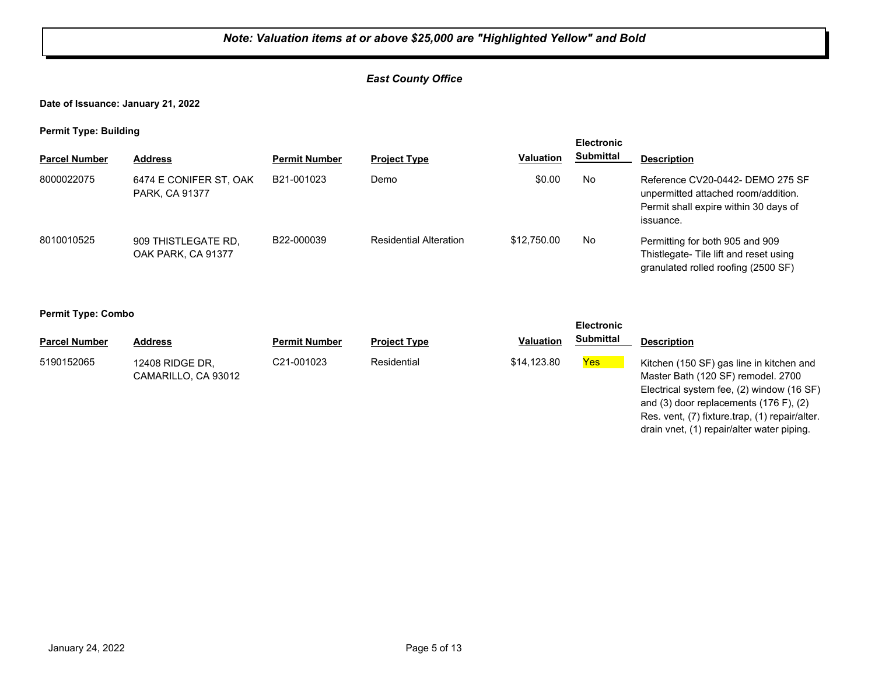## *East County Office*

### **Date of Issuance: January 21, 2022**

**Permit Type: Building**

|                      |                                           |                         |                               |                  | <b>Electronic</b> |                                                                                                                               |  |
|----------------------|-------------------------------------------|-------------------------|-------------------------------|------------------|-------------------|-------------------------------------------------------------------------------------------------------------------------------|--|
| <b>Parcel Number</b> | <b>Address</b>                            | <b>Permit Number</b>    | <b>Project Type</b>           | <b>Valuation</b> | <b>Submittal</b>  | <b>Description</b>                                                                                                            |  |
| 8000022075           | 6474 E CONIFER ST, OAK<br>PARK, CA 91377  | B21-001023              | Demo                          | \$0.00           | No                | Reference CV20-0442- DEMO 275 SF<br>unpermitted attached room/addition.<br>Permit shall expire within 30 days of<br>issuance. |  |
| 8010010525           | 909 THISTLEGATE RD.<br>OAK PARK, CA 91377 | B <sub>22</sub> -000039 | <b>Residential Alteration</b> | \$12,750.00      | No                | Permitting for both 905 and 909<br>Thistlegate- Tile lift and reset using<br>granulated rolled roofing (2500 SF)              |  |

#### **Permit Type: Combo**

| - -<br><b>Electronic</b> |                                        |                      |                     |                  |                  |                                                                                                                             |
|--------------------------|----------------------------------------|----------------------|---------------------|------------------|------------------|-----------------------------------------------------------------------------------------------------------------------------|
| <b>Parcel Number</b>     | Address                                | <b>Permit Number</b> | <b>Project Type</b> | <b>Valuation</b> | <b>Submittal</b> | <b>Description</b>                                                                                                          |
| 5190152065               | 12408 RIDGE DR.<br>CAMARILLO, CA 93012 | C21-001023           | Residential         | \$14,123.80      | <b>Yes</b>       | Kitchen (150 SF) gas line in kitchen and<br>Master Bath (120 SF) remodel. 2700<br>Electrical system fee, (2) window (16 SF) |

and (3) door replacements (176 F), (2) Res. vent, (7) fixture.trap, (1) repair/alter. drain vnet, (1) repair/alter water piping.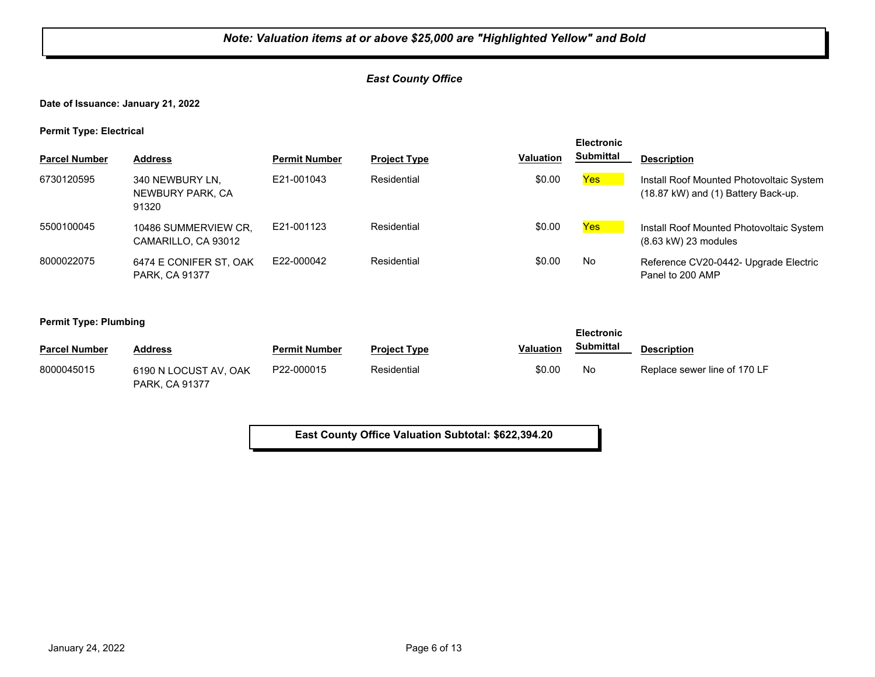## *East County Office*

**Date of Issuance: January 21, 2022**

**Permit Type: Electrical**

| . .                  |                                              |                      |                     |                  | <b>Electronic</b> |                                                                                 |
|----------------------|----------------------------------------------|----------------------|---------------------|------------------|-------------------|---------------------------------------------------------------------------------|
| <b>Parcel Number</b> | <b>Address</b>                               | <b>Permit Number</b> | <b>Project Type</b> | <b>Valuation</b> | <b>Submittal</b>  | <b>Description</b>                                                              |
| 6730120595           | 340 NEWBURY LN.<br>NEWBURY PARK, CA<br>91320 | F21-001043           | Residential         | \$0.00           | Yes               | Install Roof Mounted Photovoltaic System<br>(18.87 kW) and (1) Battery Back-up. |
| 5500100045           | 10486 SUMMERVIEW CR.<br>CAMARILLO, CA 93012  | E21-001123           | Residential         | \$0.00           | Yes               | Install Roof Mounted Photovoltaic System<br>$(8.63 \text{ kW})$ 23 modules      |
| 8000022075           | 6474 E CONIFER ST, OAK<br>PARK, CA 91377     | F22-000042           | Residential         | \$0.00           | No                | Reference CV20-0442- Upgrade Electric<br>Panel to 200 AMP                       |

**Permit Type: Plumbing**

| . .                  |                                         |                      |                     | <b>Electronic</b> |                  |                              |
|----------------------|-----------------------------------------|----------------------|---------------------|-------------------|------------------|------------------------------|
| <b>Parcel Number</b> | <b>Address</b>                          | <b>Permit Number</b> | <b>Project Type</b> | <b>Valuation</b>  | <b>Submittal</b> | <b>Description</b>           |
| 8000045015           | 6190 N LOCUST AV, OAK<br>PARK, CA 91377 | P22-000015           | Residential         | \$0.00            | No               | Replace sewer line of 170 LF |

**East County Office Valuation Subtotal: \$622,394.20**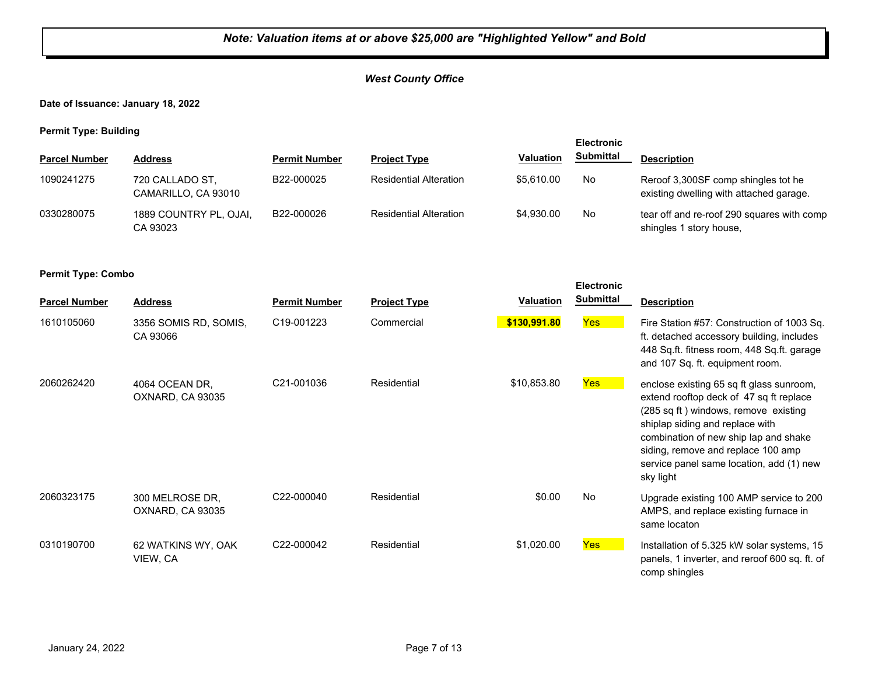## *West County Office*

**Date of Issuance: January 18, 2022**

**Permit Type: Building**

|                      |                                        |                      |                               |                  | <b>Electronic</b> |                                                                                |
|----------------------|----------------------------------------|----------------------|-------------------------------|------------------|-------------------|--------------------------------------------------------------------------------|
| <b>Parcel Number</b> | <b>Address</b>                         | <b>Permit Number</b> | <b>Project Type</b>           | <b>Valuation</b> | <b>Submittal</b>  | <b>Description</b>                                                             |
| 1090241275           | 720 CALLADO ST,<br>CAMARILLO, CA 93010 | B22-000025           | <b>Residential Alteration</b> | \$5.610.00       | No                | Reroof 3,300SF comp shingles tot he<br>existing dwelling with attached garage. |
| 0330280075           | 1889 COUNTRY PL, OJAI,<br>CA 93023     | B22-000026           | <b>Residential Alteration</b> | \$4.930.00       | No.               | tear off and re-roof 290 squares with comp<br>shingles 1 story house,          |

#### **Permit Type: Combo**

| <b>Parcel Number</b> | <b>Address</b>                      | <b>Permit Number</b>    | <b>Project Type</b> | <b>Valuation</b> | <b>Electronic</b><br><b>Submittal</b> | <b>Description</b>                                                                                                                                                                                                                                                                                     |
|----------------------|-------------------------------------|-------------------------|---------------------|------------------|---------------------------------------|--------------------------------------------------------------------------------------------------------------------------------------------------------------------------------------------------------------------------------------------------------------------------------------------------------|
| 1610105060           | 3356 SOMIS RD, SOMIS,<br>CA 93066   | C <sub>19</sub> -001223 | Commercial          | \$130,991.80     | Yes                                   | Fire Station #57: Construction of 1003 Sq.<br>ft. detached accessory building, includes<br>448 Sq.ft. fitness room, 448 Sq.ft. garage<br>and 107 Sq. ft. equipment room.                                                                                                                               |
| 2060262420           | 4064 OCEAN DR.<br>OXNARD, CA 93035  | C21-001036              | Residential         | \$10,853.80      | Yes                                   | enclose existing 65 sq ft glass sunroom,<br>extend rooftop deck of 47 sq ft replace<br>(285 sq ft) windows, remove existing<br>shiplap siding and replace with<br>combination of new ship lap and shake<br>siding, remove and replace 100 amp<br>service panel same location, add (1) new<br>sky light |
| 2060323175           | 300 MELROSE DR.<br>OXNARD, CA 93035 | C22-000040              | Residential         | \$0.00           | <b>No</b>                             | Upgrade existing 100 AMP service to 200<br>AMPS, and replace existing furnace in<br>same locaton                                                                                                                                                                                                       |
| 0310190700           | 62 WATKINS WY, OAK<br>VIEW, CA      | C22-000042              | Residential         | \$1,020.00       | Yes                                   | Installation of 5.325 kW solar systems, 15<br>panels, 1 inverter, and reroof 600 sq. ft. of<br>comp shingles                                                                                                                                                                                           |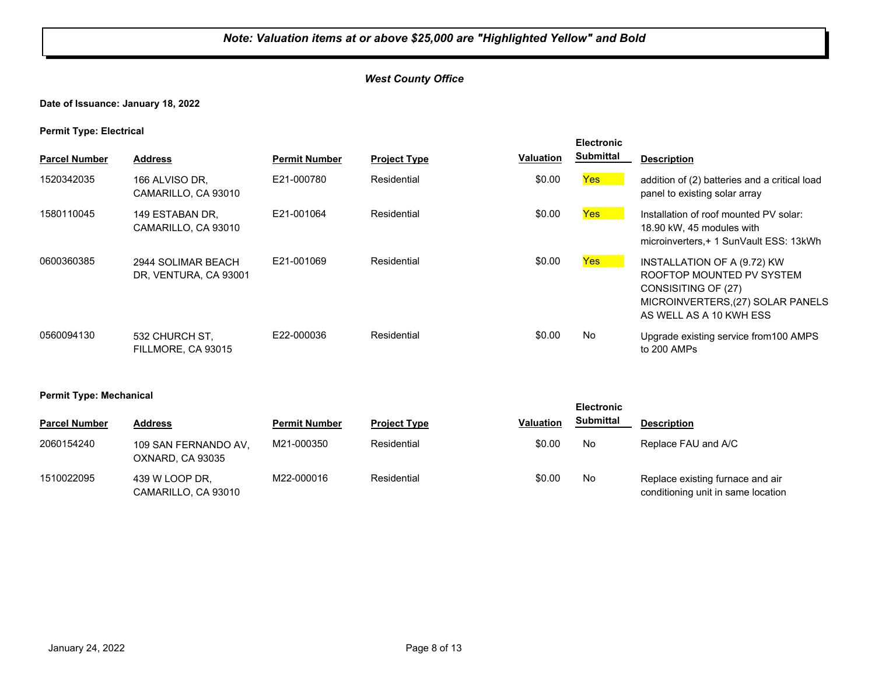## *West County Office*

## **Date of Issuance: January 18, 2022**

**Permit Type: Electrical**

| <b>Parcel Number</b> | <b>Address</b>                              | <b>Permit Number</b> | <b>Project Type</b> | <b>Valuation</b> | <b>Electronic</b><br><b>Submittal</b> | <b>Description</b>                                                                                                                              |
|----------------------|---------------------------------------------|----------------------|---------------------|------------------|---------------------------------------|-------------------------------------------------------------------------------------------------------------------------------------------------|
| 1520342035           | 166 ALVISO DR.<br>CAMARILLO, CA 93010       | E21-000780           | Residential         | \$0.00           | Yes                                   | addition of (2) batteries and a critical load<br>panel to existing solar array                                                                  |
| 1580110045           | 149 ESTABAN DR.<br>CAMARILLO, CA 93010      | E21-001064           | Residential         | \$0.00           | Yes                                   | Installation of roof mounted PV solar:<br>18.90 kW, 45 modules with<br>microinverters, + 1 SunVault ESS: 13kWh                                  |
| 0600360385           | 2944 SOLIMAR BEACH<br>DR, VENTURA, CA 93001 | E21-001069           | Residential         | \$0.00           | Yes                                   | INSTALLATION OF A (9.72) KW<br>ROOFTOP MOUNTED PV SYSTEM<br>CONSISITING OF (27)<br>MICROINVERTERS, (27) SOLAR PANELS<br>AS WELL AS A 10 KWH ESS |
| 0560094130           | 532 CHURCH ST.<br>FILLMORE, CA 93015        | E22-000036           | Residential         | \$0.00           | No                                    | Upgrade existing service from 100 AMPS<br>to 200 AMPs                                                                                           |

#### **Permit Type: Mechanical**

| . .                  |                                          |                      |                     |                  | <b>Electronic</b> |                                                                        |
|----------------------|------------------------------------------|----------------------|---------------------|------------------|-------------------|------------------------------------------------------------------------|
| <b>Parcel Number</b> | <b>Address</b>                           | <b>Permit Number</b> | <b>Project Type</b> | <b>Valuation</b> | <b>Submittal</b>  | <b>Description</b>                                                     |
| 2060154240           | 109 SAN FERNANDO AV,<br>OXNARD, CA 93035 | M21-000350           | Residential         | \$0.00           | No                | Replace FAU and A/C                                                    |
| 1510022095           | 439 W LOOP DR.<br>CAMARILLO, CA 93010    | M22-000016           | Residential         | \$0.00           | No                | Replace existing furnace and air<br>conditioning unit in same location |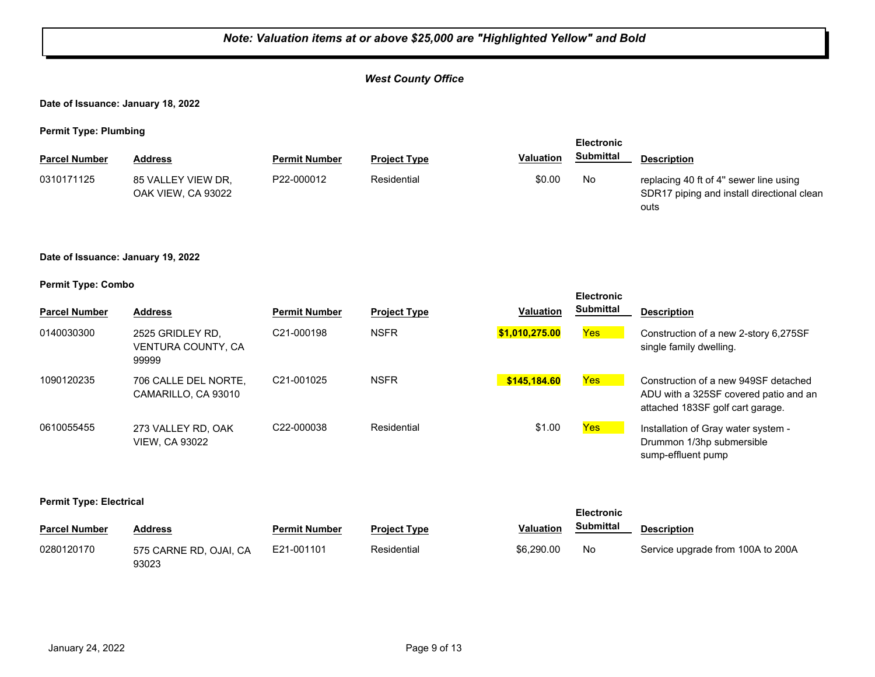## *West County Office*

**Date of Issuance: January 18, 2022**

**Permit Type: Plumbing**

| <b>Electronic</b>    |                                          |                      |                     |                  |                  |                                                                                              |
|----------------------|------------------------------------------|----------------------|---------------------|------------------|------------------|----------------------------------------------------------------------------------------------|
| <b>Parcel Number</b> | <b>Address</b>                           | <b>Permit Number</b> | <b>Project Type</b> | <b>Valuation</b> | <b>Submittal</b> | <b>Description</b>                                                                           |
| 0310171125           | 85 VALLEY VIEW DR.<br>OAK VIEW, CA 93022 | P22-000012           | Residential         | \$0.00           | No               | replacing 40 ft of 4" sewer line using<br>SDR17 piping and install directional clean<br>outs |

#### **Date of Issuance: January 19, 2022**

#### **Permit Type: Combo**

|                      |                                                 |                         |                     |                  | <b>Electronic</b> |                                                                                                                   |
|----------------------|-------------------------------------------------|-------------------------|---------------------|------------------|-------------------|-------------------------------------------------------------------------------------------------------------------|
| <b>Parcel Number</b> | <b>Address</b>                                  | <b>Permit Number</b>    | <b>Project Type</b> | <b>Valuation</b> | <b>Submittal</b>  | <b>Description</b>                                                                                                |
| 0140030300           | 2525 GRIDLEY RD.<br>VENTURA COUNTY, CA<br>99999 | C21-000198              | <b>NSFR</b>         | \$1,010,275.00   | Yes               | Construction of a new 2-story 6,275SF<br>single family dwelling.                                                  |
| 1090120235           | 706 CALLE DEL NORTE,<br>CAMARILLO, CA 93010     | C <sub>21</sub> -001025 | <b>NSFR</b>         | \$145,184.60     | Yes               | Construction of a new 949SF detached<br>ADU with a 325SF covered patio and an<br>attached 183SF golf cart garage. |
| 0610055455           | 273 VALLEY RD, OAK<br><b>VIEW, CA 93022</b>     | C <sub>22</sub> -000038 | Residential         | \$1.00           | Yes               | Installation of Gray water system -<br>Drummon 1/3hp submersible<br>sump-effluent pump                            |

#### **Permit Type: Electrical**

|                      |                                 |                      | <b>Electronic</b>   |                  |           |                                   |
|----------------------|---------------------------------|----------------------|---------------------|------------------|-----------|-----------------------------------|
| <b>Parcel Number</b> | Address                         | <b>Permit Number</b> | <b>Project Type</b> | <b>Valuation</b> | Submittal | <b>Description</b>                |
| 0280120170           | 575 CARNE RD, OJAI, CA<br>93023 | E21-001101           | Residential         | \$6,290,00       | No        | Service upgrade from 100A to 200A |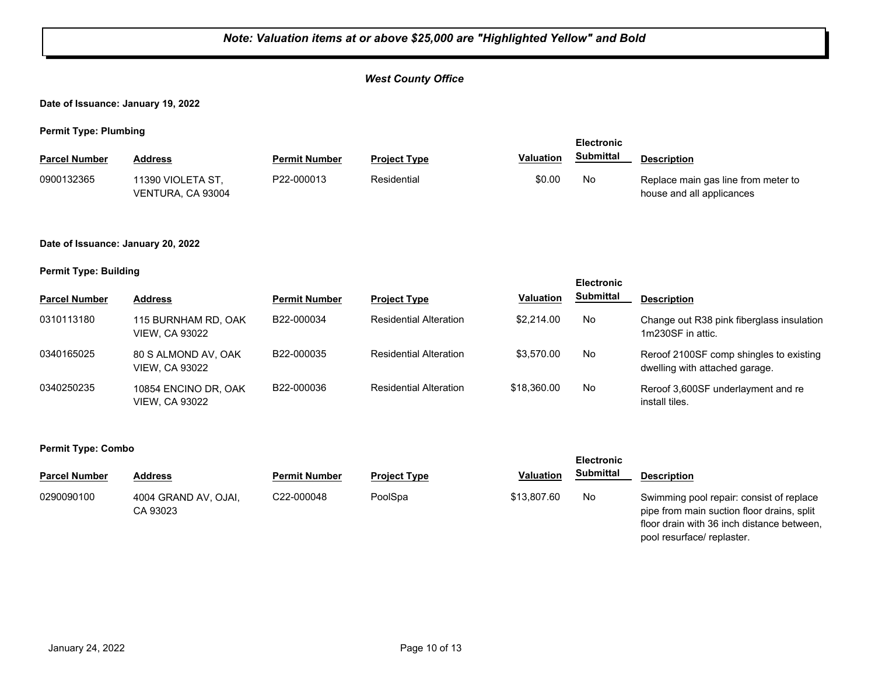## *West County Office*

**Date of Issuance: January 19, 2022**

**Permit Type: Plumbing**

| <b>Parcel Number</b> | <b>Address</b>                         | <b>Permit Number</b> | <b>Project Type</b> | <b>Valuation</b> | <b>Submittal</b> | <b>Description</b>                                               |
|----------------------|----------------------------------------|----------------------|---------------------|------------------|------------------|------------------------------------------------------------------|
| 0900132365           | 11390 VIOLETA ST.<br>VENTURA, CA 93004 | P22-000013           | Residential         | \$0.00           | No               | Replace main gas line from meter to<br>house and all applicances |

#### **Date of Issuance: January 20, 2022**

#### **Permit Type: Building**

|                      |                                               |                      |                               |             | <b>Electronic</b> |                                                                           |
|----------------------|-----------------------------------------------|----------------------|-------------------------------|-------------|-------------------|---------------------------------------------------------------------------|
| <b>Parcel Number</b> | <b>Address</b>                                | <b>Permit Number</b> | <b>Project Type</b>           | Valuation   | <b>Submittal</b>  | <b>Description</b>                                                        |
| 0310113180           | 115 BURNHAM RD, OAK<br><b>VIEW, CA 93022</b>  | B22-000034           | <b>Residential Alteration</b> | \$2,214.00  | No                | Change out R38 pink fiberglass insulation<br>1m230SF in attic.            |
| 0340165025           | 80 S ALMOND AV, OAK<br><b>VIEW, CA 93022</b>  | B22-000035           | <b>Residential Alteration</b> | \$3,570.00  | No                | Reroof 2100SF comp shingles to existing<br>dwelling with attached garage. |
| 0340250235           | 10854 ENCINO DR, OAK<br><b>VIEW. CA 93022</b> | B22-000036           | <b>Residential Alteration</b> | \$18,360.00 | No                | Reroof 3,600SF underlayment and re<br>install tiles.                      |

#### **Permit Type: Combo**

| <b>Parcel Number</b> | <b>Address</b>                   | <b>Permit Number</b> | <b>Project Type</b> | <b>Valuation</b> | Submittal | <b>Description</b>                                                                                                                                                 |
|----------------------|----------------------------------|----------------------|---------------------|------------------|-----------|--------------------------------------------------------------------------------------------------------------------------------------------------------------------|
| 0290090100           | 4004 GRAND AV. OJAI.<br>CA 93023 | C22-000048           | PoolSpa             | \$13,807.60      | No        | Swimming pool repair: consist of replace<br>pipe from main suction floor drains, split<br>floor drain with 36 inch distance between,<br>pool resurface/ replaster. |

**Electronic**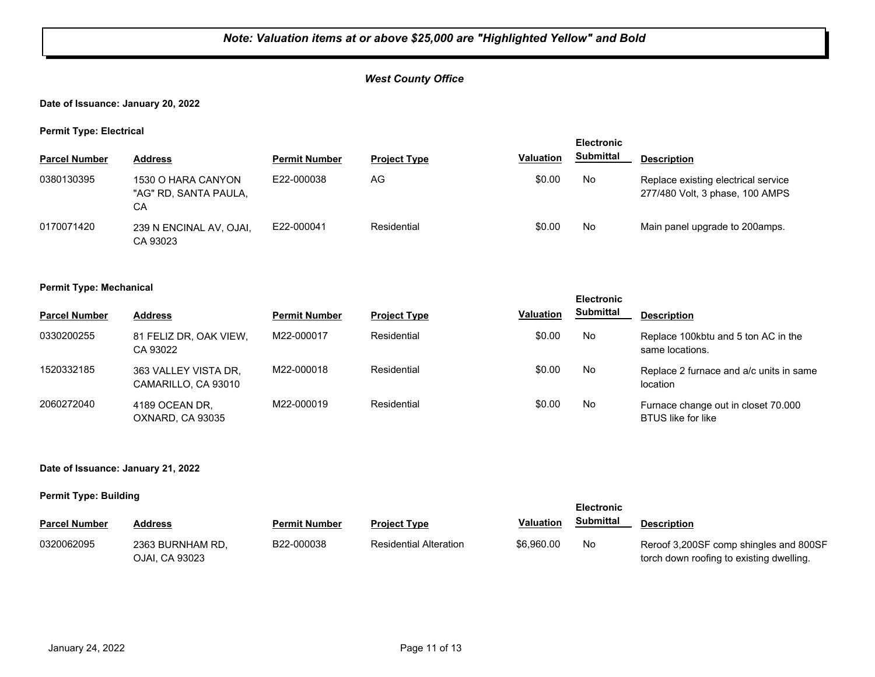## *West County Office*

### **Date of Issuance: January 20, 2022**

**Permit Type: Electrical**

| . .                  |                                                   |                      |                     |                  | <b>Electronic</b> |                                                                        |
|----------------------|---------------------------------------------------|----------------------|---------------------|------------------|-------------------|------------------------------------------------------------------------|
| <b>Parcel Number</b> | <b>Address</b>                                    | <b>Permit Number</b> | <b>Project Type</b> | <b>Valuation</b> | <b>Submittal</b>  | <b>Description</b>                                                     |
| 0380130395           | 1530 O HARA CANYON<br>"AG" RD, SANTA PAULA,<br>CА | E22-000038           | AG                  | \$0.00           | No                | Replace existing electrical service<br>277/480 Volt, 3 phase, 100 AMPS |
| 0170071420           | 239 N ENCINAL AV, OJAI,<br>CA 93023               | E22-000041           | Residential         | \$0.00           | No                | Main panel upgrade to 200amps.                                         |

#### **Permit Type: Mechanical**

|                      |                                             |                      |                     |                  | <b>Electronic</b> |                                                                  |
|----------------------|---------------------------------------------|----------------------|---------------------|------------------|-------------------|------------------------------------------------------------------|
| <b>Parcel Number</b> | <b>Address</b>                              | <b>Permit Number</b> | <b>Project Type</b> | <b>Valuation</b> | <b>Submittal</b>  | <b>Description</b>                                               |
| 0330200255           | 81 FELIZ DR. OAK VIEW.<br>CA 93022          | M22-000017           | Residential         | \$0.00           | No                | Replace 100 kbtu and 5 ton AC in the<br>same locations.          |
| 1520332185           | 363 VALLEY VISTA DR,<br>CAMARILLO, CA 93010 | M22-000018           | Residential         | \$0.00           | No                | Replace 2 furnace and a/c units in same<br>location              |
| 2060272040           | 4189 OCEAN DR.<br>OXNARD. CA 93035          | M22-000019           | Residential         | \$0.00           | No                | Furnace change out in closet 70.000<br><b>BTUS</b> like for like |

#### **Date of Issuance: January 21, 2022**

#### **Permit Type: Building**

|                      |                                    |                      |                               |                  |                  | <b>Electronic</b>                                                                  |  |  |
|----------------------|------------------------------------|----------------------|-------------------------------|------------------|------------------|------------------------------------------------------------------------------------|--|--|
| <b>Parcel Number</b> | Address                            | <b>Permit Number</b> | <b>Project Type</b>           | <b>Valuation</b> | <b>Submittal</b> | <b>Description</b>                                                                 |  |  |
| 0320062095           | 2363 BURNHAM RD.<br>OJAI, CA 93023 | B22-000038           | <b>Residential Alteration</b> | \$6,960.00       | No               | Reroof 3,200SF comp shingles and 800SF<br>torch down roofing to existing dwelling. |  |  |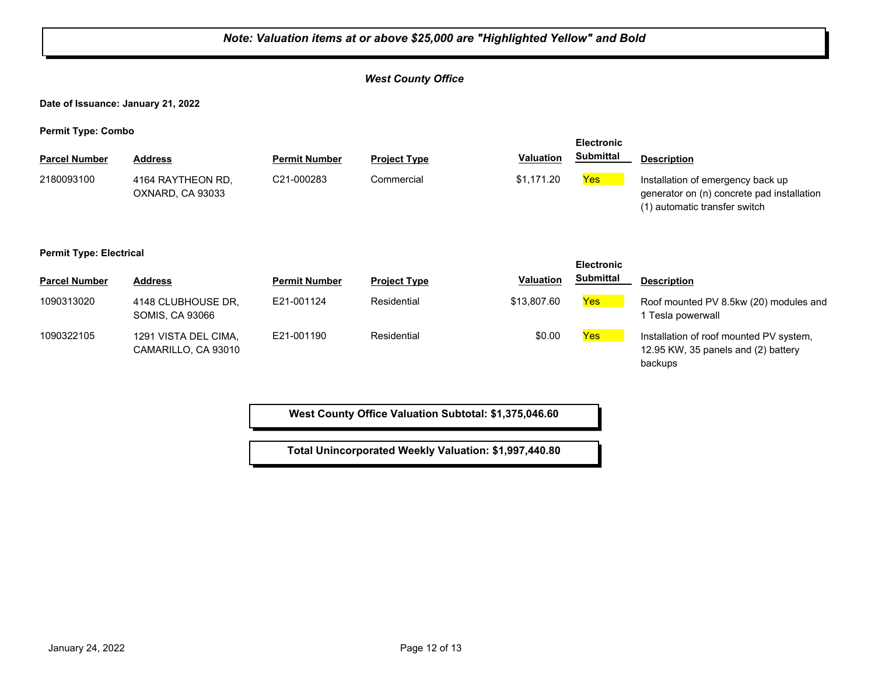## *Note: Valuation items at or above \$25,000 are "Highlighted Yellow" and Bold West County Office* **Date of Issuance: January 21, 2022 Permit Type: Combo Parcel Number Address <b>Permit Number Project Type Valuation Submittal** Description **Electronic Submittal** 2180093100 4164 RAYTHEON RD, C21-000283 Commercial \$1,171.20 <mark>Yes</mark> OXNARD, CA 93033 C21-000283 Commercial **\$1,171.20 Yes** Installation of emergency back up generator on (n) concrete pad installation (1) automatic transfer switch **Permit Type: Electrical Parcel Number Address <b>Permit Number Project Type Valuation Submittal** Description **Electronic Submittal** 1090313020 4148 CLUBHOUSE DR, E21-001124 Residential \$13,807.60 <mark>Yes</mark> SOMIS, CA 93066 E21-001124 Residential \$13,807.60 **Yes** Roof mounted PV 8.5kw (20) modules and 1 Tesla powerwall 1090322105 1291 VISTA DEL CIMA, E21-001190 Residential \$0.00 <mark>Yes</mark> CAMARILLO, CA 93010 E21-001190 Residential **Residential** \$0.00 **Yes** Installation of roof mounted PV system, 12.95 KW, 35 panels and (2) battery backups

**West County Office Valuation Subtotal: \$1,375,046.60**

**Total Unincorporated Weekly Valuation: \$1,997,440.80**